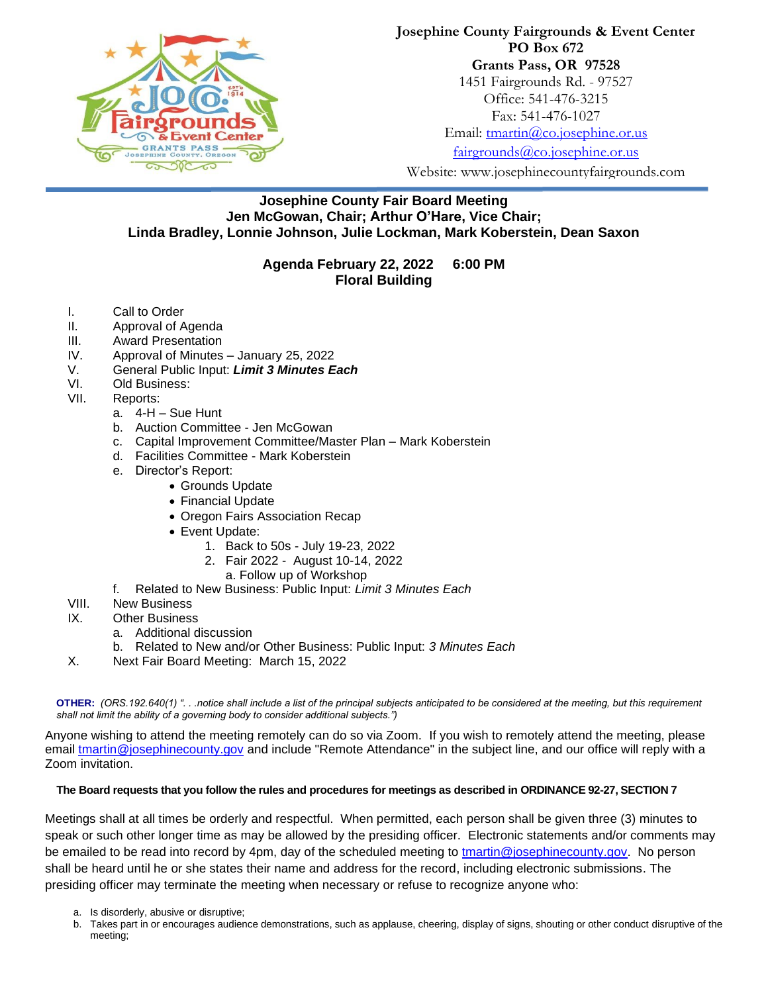

## **Josephine County Fairgrounds & Event Center PO Box 672 Grants Pass, OR 97528** 1451 Fairgrounds Rd. - 97527 Office: 541-476-3215 Fax: 541-476-1027 Email: [tmartin@co.josephine.or.us](mailto:tmartin@co.josephine.or.us)

[fairgrounds@co.josephine.or.us](mailto:fairgrounds@co.josephine.or.us)

Website: www.josephinecountyfairgrounds.com

## **Josephine County Fair Board Meeting Jen McGowan, Chair; Arthur O'Hare, Vice Chair; Linda Bradley, Lonnie Johnson, Julie Lockman, Mark Koberstein, Dean Saxon**

## **Agenda February 22, 2022 6:00 PM Floral Building**

- I. Call to Order
- II. Approval of Agenda
- III. Award Presentation
- IV. Approval of Minutes January 25, 2022
- V. General Public Input: *Limit 3 Minutes Each*
- VI. Old Business:
- VII. Reports:
	- a. 4-H Sue Hunt
	- b. Auction Committee Jen McGowan
	- c. Capital Improvement Committee/Master Plan Mark Koberstein
	- d. Facilities Committee Mark Koberstein
	- e. Director's Report:
		- Grounds Update
		- Financial Update
		- Oregon Fairs Association Recap
		- Event Update:
			- 1. Back to 50s July 19-23, 2022
			- 2. Fair 2022 August 10-14, 2022
			- a. Follow up of Workshop
	- f. Related to New Business: Public Input: *Limit 3 Minutes Each*
- VIII. New Business
- IX. Other Business
	- a. Additional discussion
	- b. Related to New and/or Other Business: Public Input: *3 Minutes Each*
- X. Next Fair Board Meeting: March 15, 2022

**OTHER:** *(ORS.192.640(1) ". . .notice shall include a list of the principal subjects anticipated to be considered at the meeting, but this requirement shall not limit the ability of a governing body to consider additional subjects.")*

Anyone wishing to attend the meeting remotely can do so via Zoom. If you wish to remotely attend the meeting, please email [tmartin@josephinecounty.gov](mailto:tmartin@josephinecounty.gov) and include "Remote Attendance" in the subject line, and our office will reply with a Zoom invitation.

## **The Board requests that you follow the rules and procedures for meetings as described in ORDINANCE 92-27, SECTION 7**

Meetings shall at all times be orderly and respectful. When permitted, each person shall be given three (3) minutes to speak or such other longer time as may be allowed by the presiding officer. Electronic statements and/or comments may be emailed to be read into record by 4pm, day of the scheduled meeting to [tmartin@josephinecounty.gov.](mailto:tmartin@josephinecounty.gov) No person shall be heard until he or she states their name and address for the record, including electronic submissions. The presiding officer may terminate the meeting when necessary or refuse to recognize anyone who:

- a. Is disorderly, abusive or disruptive;
- b. Takes part in or encourages audience demonstrations, such as applause, cheering, display of signs, shouting or other conduct disruptive of the meeting;